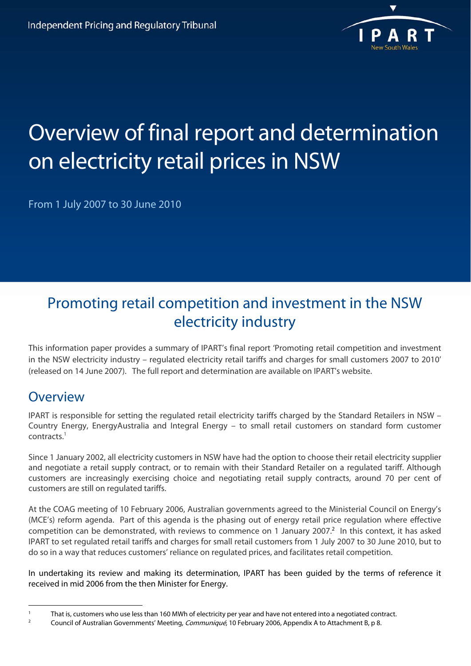

# Overview of final report and determination on electricity retail prices in NSW

From 1 July 2007 to 30 June 2010

## Promoting retail competition and investment in the NSW electricity industry

This information paper provides a summary of IPART's final report 'Promoting retail competition and investment in the NSW electricity industry – regulated electricity retail tariffs and charges for small customers 2007 to 2010' (released on 14 June 2007). The full report and determination are available on IPART's website.

## **Overview**

IPART is responsible for setting the regulated retail electricity tariffs charged by the Standard Retailers in NSW – Country Energy, EnergyAustralia and Integral Energy – to small retail customers on standard form customer contracts.1

Since 1 January 2002, all electricity customers in NSW have had the option to choose their retail electricity supplier and negotiate a retail supply contract, or to remain with their Standard Retailer on a regulated tariff. Although customers are increasingly exercising choice and negotiating retail supply contracts, around 70 per cent of customers are still on regulated tariffs.

At the COAG meeting of 10 February 2006, Australian governments agreed to the Ministerial Council on Energy's (MCE's) reform agenda. Part of this agenda is the phasing out of energy retail price regulation where effective competition can be demonstrated, with reviews to commence on 1 January 2007.<sup>2</sup> In this context, it has asked IPART to set regulated retail tariffs and charges for small retail customers from 1 July 2007 to 30 June 2010, but to do so in a way that reduces customers' reliance on regulated prices, and facilitates retail competition.

In undertaking its review and making its determination, IPART has been guided by the terms of reference it received in mid 2006 from the then Minister for Energy.

<sup>1</sup> 1 That is, customers who use less than 160 MWh of electricity per year and have not entered into a negotiated contract.

Council of Australian Governments' Meeting, Communiqué, 10 February 2006, Appendix A to Attachment B, p 8.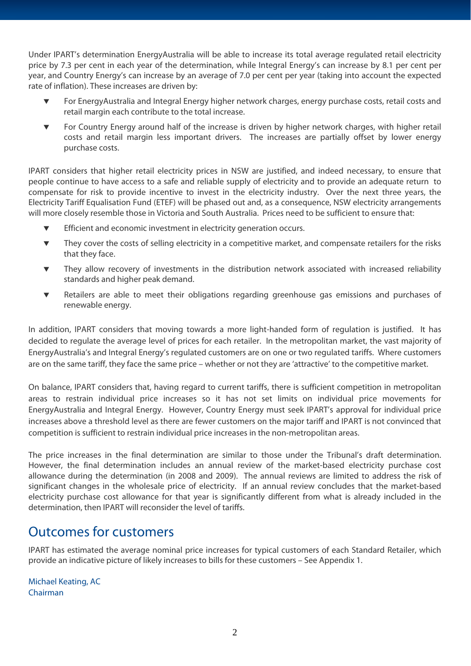Under IPART's determination EnergyAustralia will be able to increase its total average regulated retail electricity price by 7.3 per cent in each year of the determination, while Integral Energy's can increase by 8.1 per cent per year, and Country Energy's can increase by an average of 7.0 per cent per year (taking into account the expected rate of inflation). These increases are driven by:

- For EnergyAustralia and Integral Energy higher network charges, energy purchase costs, retail costs and retail margin each contribute to the total increase.
- For Country Energy around half of the increase is driven by higher network charges, with higher retail costs and retail margin less important drivers. The increases are partially offset by lower energy purchase costs.

IPART considers that higher retail electricity prices in NSW are justified, and indeed necessary, to ensure that people continue to have access to a safe and reliable supply of electricity and to provide an adequate return to compensate for risk to provide incentive to invest in the electricity industry. Over the next three years, the Electricity Tariff Equalisation Fund (ETEF) will be phased out and, as a consequence, NSW electricity arrangements will more closely resemble those in Victoria and South Australia. Prices need to be sufficient to ensure that:

- $\blacktriangledown$  Efficient and economic investment in electricity generation occurs.
- They cover the costs of selling electricity in a competitive market, and compensate retailers for the risks that they face.
- $\blacktriangledown$  They allow recovery of investments in the distribution network associated with increased reliability standards and higher peak demand.
- **The Retailers are able to meet their obligations regarding greenhouse gas emissions and purchases of** renewable energy.

In addition, IPART considers that moving towards a more light-handed form of regulation is justified. It has decided to regulate the average level of prices for each retailer. In the metropolitan market, the vast majority of EnergyAustralia's and Integral Energy's regulated customers are on one or two regulated tariffs. Where customers are on the same tariff, they face the same price – whether or not they are 'attractive' to the competitive market.

On balance, IPART considers that, having regard to current tariffs, there is sufficient competition in metropolitan areas to restrain individual price increases so it has not set limits on individual price movements for EnergyAustralia and Integral Energy. However, Country Energy must seek IPART's approval for individual price increases above a threshold level as there are fewer customers on the major tariff and IPART is not convinced that competition is sufficient to restrain individual price increases in the non-metropolitan areas.

The price increases in the final determination are similar to those under the Tribunal's draft determination. However, the final determination includes an annual review of the market-based electricity purchase cost allowance during the determination (in 2008 and 2009). The annual reviews are limited to address the risk of significant changes in the wholesale price of electricity. If an annual review concludes that the market-based electricity purchase cost allowance for that year is significantly different from what is already included in the determination, then IPART will reconsider the level of tariffs.

## Outcomes for customers

IPART has estimated the average nominal price increases for typical customers of each Standard Retailer, which provide an indicative picture of likely increases to bills for these customers – See Appendix 1.

Michael Keating, AC Chairman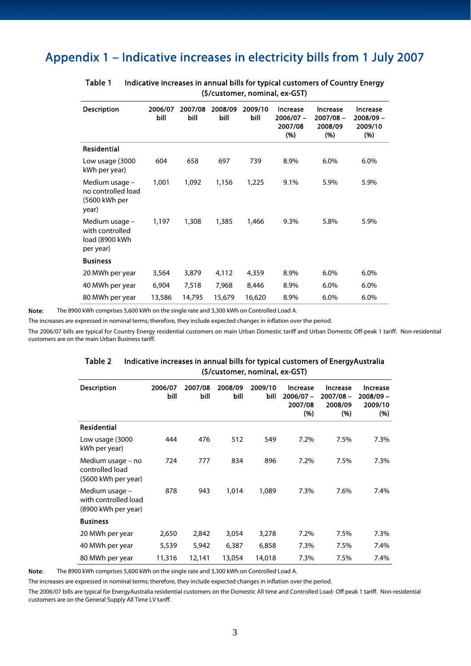### Appendix 1 – Indicative increases in electricity bills from 1 July 2007

| <b>Description</b>                                               | 2006/07<br>bill | 2007/08<br>bill | 2008/09<br>bill | 2009/10<br>bill | Increase<br>$2006/07 -$<br>2007/08<br>(% ) | <b>Increase</b><br>$2007/08 -$<br>2008/09<br>(% ) | <b>Increase</b><br>$2008/09 -$<br>2009/10<br>(96) |
|------------------------------------------------------------------|-----------------|-----------------|-----------------|-----------------|--------------------------------------------|---------------------------------------------------|---------------------------------------------------|
| <b>Residential</b>                                               |                 |                 |                 |                 |                                            |                                                   |                                                   |
| Low usage (3000<br>kWh per year)                                 | 604             | 658             | 697             | 739             | 8.9%                                       | 6.0%                                              | 6.0%                                              |
| Medium usage –<br>no controlled load<br>(5600 kWh per<br>year)   | 1,001           | 1,092           | 1,156           | 1,225           | 9.1%                                       | 5.9%                                              | 5.9%                                              |
| Medium usage –<br>with controlled<br>load (8900 kWh<br>per year) | 1,197           | 1,308           | 1,385           | 1,466           | 9.3%                                       | 5.8%                                              | 5.9%                                              |
| <b>Business</b>                                                  |                 |                 |                 |                 |                                            |                                                   |                                                   |
| 20 MWh per year                                                  | 3,564           | 3,879           | 4,112           | 4,359           | 8.9%                                       | 6.0%                                              | 6.0%                                              |
| 40 MWh per year                                                  | 6,904           | 7,518           | 7,968           | 8,446           | 8.9%                                       | 6.0%                                              | 6.0%                                              |
| 80 MWh per year                                                  | 13,586          | 14,795          | 15,679          | 16,620          | 8.9%                                       | 6.0%                                              | 6.0%                                              |

#### Table 1 Indicative increases in annual bills for typical customers of Country Energy (\$/customer, nominal, ex-GST)

Note: The 8900 kWh comprises 5,600 kWh on the single rate and 3,300 kWh on Controlled Load A.

The increases are expressed in nominal terms; therefore, they include expected changes in inflation over the period.

The 2006/07 bills are typical for Country Energy residential customers on main Urban Domestic tariff and Urban Domestic Off-peak 1 tariff. Non-residential customers are on the main Urban Business tariff.

#### Table 2 Indicative increases in annual bills for typical customers of EnergyAustralia (\$/customer, nominal, ex-GST)

| <b>Description</b>                                            | 2006/07<br>bill | 2007/08<br>bill | 2008/09<br>bill | 2009/10<br>bill | <b>Increase</b><br>$2006/07 -$<br>2007/08<br>(%) | <b>Increase</b><br>$2007/08 -$<br>2008/09<br>(% ) | Increase<br>2008/09 -<br>2009/10<br>(96) |
|---------------------------------------------------------------|-----------------|-----------------|-----------------|-----------------|--------------------------------------------------|---------------------------------------------------|------------------------------------------|
| <b>Residential</b>                                            |                 |                 |                 |                 |                                                  |                                                   |                                          |
| Low usage (3000<br>kWh per year)                              | 444             | 476             | 512             | 549             | 7.2%                                             | 7.5%                                              | 7.3%                                     |
| Medium usage – no<br>controlled load<br>(5600 kWh per year)   | 724             | 777             | 834             | 896             | 7.2%                                             | 7.5%                                              | 7.3%                                     |
| Medium usage –<br>with controlled load<br>(8900 kWh per year) | 878             | 943             | 1,014           | 1,089           | 7.3%                                             | 7.6%                                              | 7.4%                                     |
| <b>Business</b>                                               |                 |                 |                 |                 |                                                  |                                                   |                                          |
| 20 MWh per year                                               | 2,650           | 2,842           | 3,054           | 3,278           | 7.2%                                             | 7.5%                                              | 7.3%                                     |
| 40 MWh per year                                               | 5,539           | 5,942           | 6,387           | 6,858           | 7.3%                                             | 7.5%                                              | 7.4%                                     |
| 80 MWh per year                                               | 11,316          | 12,141          | 13,054          | 14,018          | 7.3%                                             | 7.5%                                              | 7.4%                                     |

Note: The 8900 kWh comprises 5,600 kWh on the single rate and 3,300 kWh on Controlled Load A.

The increases are expressed in nominal terms; therefore, they include expected changes in inflation over the period.

The 2006/07 bills are typical for EnergyAustralia residential customers on the Domestic All time and Controlled Load- Off peak 1 tariff. Non-residential customers are on the General Supply All Time LV tariff.